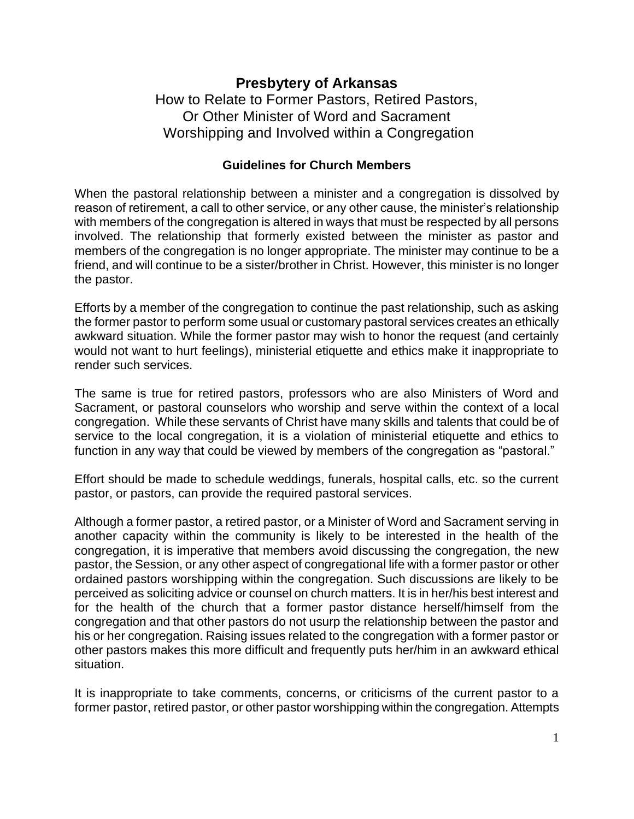## **Presbytery of Arkansas** How to Relate to Former Pastors, Retired Pastors, Or Other Minister of Word and Sacrament

Worshipping and Involved within a Congregation

## **Guidelines for Church Members**

When the pastoral relationship between a minister and a congregation is dissolved by reason of retirement, a call to other service, or any other cause, the minister's relationship with members of the congregation is altered in ways that must be respected by all persons involved. The relationship that formerly existed between the minister as pastor and members of the congregation is no longer appropriate. The minister may continue to be a friend, and will continue to be a sister/brother in Christ. However, this minister is no longer the pastor.

Efforts by a member of the congregation to continue the past relationship, such as asking the former pastor to perform some usual or customary pastoral services creates an ethically awkward situation. While the former pastor may wish to honor the request (and certainly would not want to hurt feelings), ministerial etiquette and ethics make it inappropriate to render such services.

The same is true for retired pastors, professors who are also Ministers of Word and Sacrament, or pastoral counselors who worship and serve within the context of a local congregation. While these servants of Christ have many skills and talents that could be of service to the local congregation, it is a violation of ministerial etiquette and ethics to function in any way that could be viewed by members of the congregation as "pastoral."

Effort should be made to schedule weddings, funerals, hospital calls, etc. so the current pastor, or pastors, can provide the required pastoral services.

Although a former pastor, a retired pastor, or a Minister of Word and Sacrament serving in another capacity within the community is likely to be interested in the health of the congregation, it is imperative that members avoid discussing the congregation, the new pastor, the Session, or any other aspect of congregational life with a former pastor or other ordained pastors worshipping within the congregation. Such discussions are likely to be perceived as soliciting advice or counsel on church matters. It is in her/his best interest and for the health of the church that a former pastor distance herself/himself from the congregation and that other pastors do not usurp the relationship between the pastor and his or her congregation. Raising issues related to the congregation with a former pastor or other pastors makes this more difficult and frequently puts her/him in an awkward ethical situation.

It is inappropriate to take comments, concerns, or criticisms of the current pastor to a former pastor, retired pastor, or other pastor worshipping within the congregation. Attempts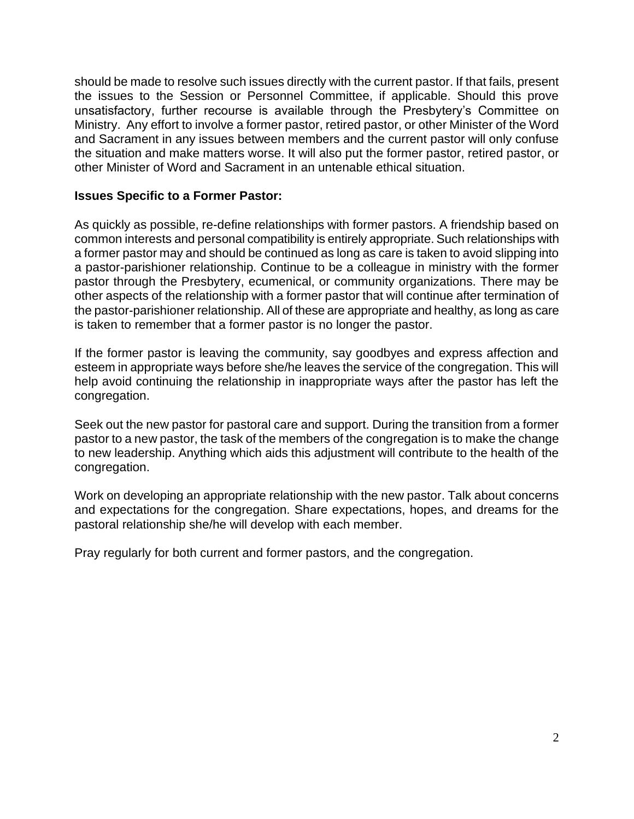should be made to resolve such issues directly with the current pastor. If that fails, present the issues to the Session or Personnel Committee, if applicable. Should this prove unsatisfactory, further recourse is available through the Presbytery's Committee on Ministry. Any effort to involve a former pastor, retired pastor, or other Minister of the Word and Sacrament in any issues between members and the current pastor will only confuse the situation and make matters worse. It will also put the former pastor, retired pastor, or other Minister of Word and Sacrament in an untenable ethical situation.

## **Issues Specific to a Former Pastor:**

As quickly as possible, re-define relationships with former pastors. A friendship based on common interests and personal compatibility is entirely appropriate. Such relationships with a former pastor may and should be continued as long as care is taken to avoid slipping into a pastor-parishioner relationship. Continue to be a colleague in ministry with the former pastor through the Presbytery, ecumenical, or community organizations. There may be other aspects of the relationship with a former pastor that will continue after termination of the pastor-parishioner relationship. All of these are appropriate and healthy, as long as care is taken to remember that a former pastor is no longer the pastor.

If the former pastor is leaving the community, say goodbyes and express affection and esteem in appropriate ways before she/he leaves the service of the congregation. This will help avoid continuing the relationship in inappropriate ways after the pastor has left the congregation.

Seek out the new pastor for pastoral care and support. During the transition from a former pastor to a new pastor, the task of the members of the congregation is to make the change to new leadership. Anything which aids this adjustment will contribute to the health of the congregation.

Work on developing an appropriate relationship with the new pastor. Talk about concerns and expectations for the congregation. Share expectations, hopes, and dreams for the pastoral relationship she/he will develop with each member.

Pray regularly for both current and former pastors, and the congregation.